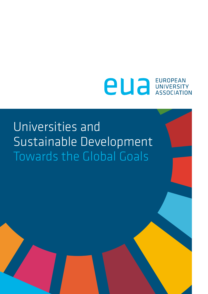# **PU** association

### Universities and Sustainable Development Towards the Global Goals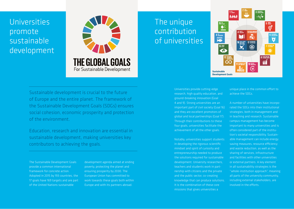Universities promote sustainable development



Sustainable development is crucial to the future of Europe and the entire planet. The framework of the Sustainable Development Goals (SDGs) ensures social cohesion, economic prosperity and protection of the environment.

Education, research and innovation are essential in sustainable development, making universities key contributors to achieving the goals.

The Sustainable Development Goals provide a common international framework for concrete action. Adopted in 2015 by 193 countries, the 17 goals have 169 targets and are part of the United Nations sustainable

development agenda aimed at ending poverty, protecting the planet and ensuring prosperity by 2030. The European Union has committed to work towards these goals both within Europe and with its partners abroad.

### The unique contribution of universities



Universities provide cutting-edge research, high quality education, and ground-breaking innovation (Goal 4 and 9). Strong universities are an important part of civil society (Goal 16) and they are excellent promotors of global and local partnerships (Goal 17). Through their contributions to these four goals, universities facilitate the achievement of all the other goals.

Notably, universities support students in developing the rigorous scientific mindset and spirit of curiosity and entrepreneurship needed to produce the solutions required for sustainable development. University researchers, teachers and students work in partnership with citizens and the private and the public sector, co-creating knowledge that can produce solutions. It is the combination of these core missions that gives universities a

unique place in the common effort to achieve the SDGs.

A number of universities have incorporated the SDGs into their institutional strategies, both in management and in teaching and research. Sustainable campus management has become important to many universities and is often considered part of the institution's societal responsibility. Sustainable management can include energy saving measures, resource efficiency and waste reduction, as well as the sharing of services, infrastructure and facilities with other universities or external partners. A key element in all sustainability strategies is the "whole-institution approach", meaning all parts of the university community, including external stakeholders, are involved in the efforts.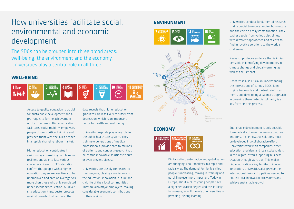### How universities facilitate social, environmental and economic development

The SDGs can be grouped into three broad areas: well-being, the environment and the economy. Universities play a central role in all three.

#### **WELL-BEING**



Access to quality education is crucial for sustainable development and a pre-requisite for the achievement of the other goals. Higher education facilitates social mobility, empowers people through critical thinking and provides them with the skills needed in a rapidly changing labour market.

Higher education contributes in various ways to making people more resilient and able to face various challenges. Recent OECD statistics confirm that people with a higher education degree are less likely to be unemployed and earn on average 54% more than those who only completed upper secondary education. A university education, thus, better protects against poverty. Furthermore, the

data reveals that higher education graduates are less likely to suffer from depression, which is an important factor for health and well-being.

University hospitals play a key role in the public healthcare system. They train new generations of medical professionals, provide care to millions of patients and conduct research that helps find innovative solutions to cure or even prevent disease.

Universities are closely connected to their regions, playing a crucial role in the education, innovation, culture and civic life of their local communities. They are also major employers, making considerable economic contributions to their regions.

#### **ENVIRONMENT**





#### **ECONOMY**



Digitalisation, automation and globalisation are changing labour markets in a rapid and radical way. The demand for highly skilled people is increasing, making re-training and up-skilling ever more important. Today in Europe, about 40% of young people have a higher education degree and this is likely to increase, as will the role of universities in providing lifelong learning.

Universities conduct fundamental research that is crucial to understanding how nature and the earth's ecosystems function. They gather people from various disciplines, with different approaches and talents to find innovative solutions to the world's challenges.

Research produces evidence that is indispensable in identifying developments in climate change and global warming, as well as their impact.

Research is also crucial in understanding the interactions of various SDGs, identifying trade-offs and mutual reinforcements and developing a balanced approach in pursuing them. Interdisciplinarity is a key factor in this process.

Sustainable development is only possible if we radically change the way we produce and consume. Innovative solutions must be developed in a collaborative effort. Universities work with companies, other education providers and local stakeholders in this regard, often supporting business creation through start-ups. This makes higher education a key facilitator in open innovation. Universities also provide the international links and pipelines needed to nourish local innovation ecosystems and achieve sustainable growth.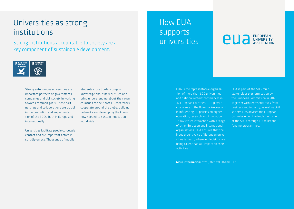### Universities as strong institutions

Strong institutions accountable to society are a key component of sustainable development.



Strong autonomous universities are important partners of governments, companies and civil society in working towards common goals. These partnerships and collaborations are crucial in the promotion and implementation of the SDGs, both in Europe and internationally.

Universities facilitate people-to-people contact and are important actors in soft diplomacy. Thousands of mobile

students cross borders to gain knowledge about new cultures and bring understanding about their own countries to their hosts. Researchers cooperate around the globe, building networks and developing the knowhow needed to sustain innovation worldwide.

### How EUA supports universities

## **european**

EUA is the representative organisation of more than 800 universities and national rectors' conferences in 47 European countries. EUA plays a crucial role in the Bologna Process and in influencing EU policies on higher education, research and innovation. Thanks to its interaction with a range of other European and international organisations, EUA ensures that the independent voice of European universities is heard, wherever decisions are being taken that will impact on their activities.

EUA is part of the SDG multistakeholder platform set up by the European Commission in 2017. Together with representatives from business and industry, as well as civil society, EUA advises the European Commission on the implementation of the SDGs through EU policy and funding programmes.

**More information:** http://bit.ly/EUAandSDGs